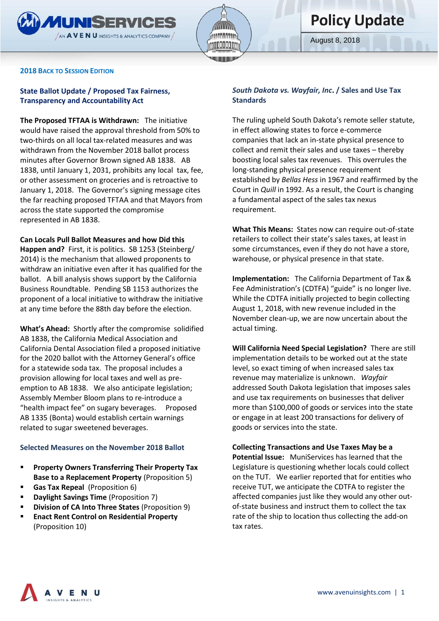

August 8, 2018

#### **2018 BACK TO SESSION EDITION**

## **State Ballot Update / Proposed Tax Fairness, Transparency and Accountability Act**

**The Proposed TFTAA is Withdrawn:** The initiative would have raised the approval threshold from 50% to two-thirds on all local tax-related measures and was withdrawn from the November 2018 ballot process minutes after Governor Brown signed AB 1838. AB 1838, until January 1, 2031, prohibits any local tax, fee, or other assessment on groceries and is retroactive to January 1, 2018. The Governor's signing message cites the far reaching proposed TFTAA and that Mayors from across the state supported the compromise represented in AB 1838.

**Can Locals Pull Ballot Measures and how Did this Happen and?** First, it is politics. SB 1253 (Steinberg/ 2014) is the mechanism that allowed proponents to withdraw an initiative even after it has qualified for the ballot. A bill analysis shows support by the California Business Roundtable. Pending SB 1153 authorizes the proponent of a local initiative to withdraw the initiative at any time before the 88th day before the election.

**What's Ahead:** Shortly after the compromise solidified AB 1838, the California Medical Association and California Dental Association filed a proposed initiative for the 2020 ballot with the Attorney General's office for a statewide soda tax. The proposal includes a provision allowing for local taxes and well as preemption to AB 1838. We also anticipate legislation; Assembly Member Bloom plans to re-introduce a "health impact fee" on sugary beverages. Proposed AB 1335 (Bonta) would establish certain warnings related to sugar sweetened beverages.

### **Selected Measures on the November 2018 Ballot**

- **Property Owners Transferring Their Property Tax Base to a Replacement Property** (Proposition 5)
- **Gas Tax Repeal** (Proposition 6)
- **Daylight Savings Time** (Proposition 7)
- **Division of CA Into Three States** (Proposition 9)
- **Enact Rent Control on Residential Property** (Proposition 10)

## *South Dakota vs. Wayfair, Inc***. / Sales and Use Tax Standards**

The ruling upheld South Dakota's remote seller statute, in effect allowing states to force e-commerce companies that lack an in-state physical presence to collect and remit their sales and use taxes – thereby boosting local sales tax revenues. This overrules the long-standing physical presence requirement established by *Bellas Hess* in 1967 and reaffirmed by the Court in *Quill* in 1992. As a result, the Court is changing a fundamental aspect of the sales tax nexus requirement.

**What This Means:** States now can require out-of-state retailers to collect their state's sales taxes, at least in some circumstances, even if they do not have a store, warehouse, or physical presence in that state.

**Implementation:** The California Department of Tax & Fee Administration's (CDTFA) "guide" is no longer live. While the CDTFA initially projected to begin collecting August 1, 2018, with new revenue included in the November clean-up, we are now uncertain about the actual timing.

**Will California Need Special Legislation?** There are still implementation details to be worked out at the state level, so exact timing of when increased sales tax revenue may materialize is unknown. *Wayfair* addressed South Dakota legislation that imposes sales and use tax requirements on businesses that deliver more than \$100,000 of goods or services into the state or engage in at least 200 transactions for delivery of goods or services into the state.

#### **Collecting Transactions and Use Taxes May be a**

**Potential Issue:** MuniServices has learned that the Legislature is questioning whether locals could collect on the TUT. We earlier reported that for entities who receive TUT, we anticipate the CDTFA to register the affected companies just like they would any other outof-state business and instruct them to collect the tax rate of the ship to location thus collecting the add-on tax rates.

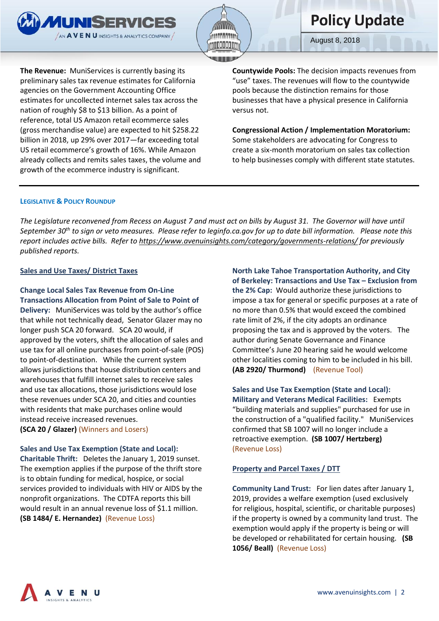



August 8, 2018

**The Revenue:** MuniServices is currently basing its preliminary sales tax revenue estimates for California agencies on the Government Accounting Office estimates for uncollected internet sales tax across the nation of roughly \$8 to \$13 billion. As a point of reference, total US Amazon retail ecommerce sales (gross merchandise value) are expected to hit \$258.22 billion in 2018, up 29% over 2017—far exceeding total US retail ecommerce's growth of 16%. While Amazon already collects and remits sales taxes, the volume and growth of the ecommerce industry is significant.

**Countywide Pools:** The decision impacts revenues from "use" taxes. The revenues will flow to the countywide pools because the distinction remains for those businesses that have a physical presence in California versus not.

**Congressional Action / Implementation Moratorium:**  Some stakeholders are advocating for Congress to create a six-month moratorium on sales tax collection to help businesses comply with different state statutes.

### **LEGISLATIVE & POLICY ROUNDUP**

*The Legislature reconvened from Recess on August 7 and must act on bills by August 31. The Governor will have until September 30th to sign or veto measures. Please refer to leginfo.ca.gov for up to date bill information. Please note this report includes active bills. Refer t[o https://www.avenuinsights.com/category/governments-relations/](https://www.avenuinsights.com/category/governments-relations/) for previously published reports.* 

### **Sales and Use Taxes/ District Taxes**

# **Change Local Sales Tax Revenue from On-Line Transactions Allocation from Point of Sale to Point of**

**Delivery:** MuniServices was told by the author's office that while not technically dead, Senator Glazer may no longer push SCA 20 forward. SCA 20 would, if approved by the voters, shift the allocation of sales and use tax for all online purchases from point-of-sale (POS) to point-of-destination. While the current system allows jurisdictions that house distribution centers and warehouses that fulfill internet sales to receive sales and use tax allocations, those jurisdictions would lose these revenues under SCA 20, and cities and counties with residents that make purchases online would instead receive increased revenues. **(SCA 20 / Glazer)** (Winners and Losers)

### **Sales and Use Tax Exemption (State and Local):**

**Charitable Thrift:** Deletes the January 1, 2019 sunset. The exemption applies if the purpose of the thrift store is to obtain funding for medical, hospice, or social services provided to individuals with HIV or AIDS by the nonprofit organizations. The CDTFA reports this bill would result in an annual revenue loss of \$1.1 million. **(SB 1484/ E. Hernandez)** (Revenue Loss)

**North Lake Tahoe Transportation Authority, and City of Berkeley: Transactions and Use Tax – Exclusion from the 2% Cap:** Would authorize these jurisdictions to impose a tax for general or specific purposes at a rate of no more than 0.5% that would exceed the combined rate limit of 2%, if the city adopts an ordinance proposing the tax and is approved by the voters. The author during Senate Governance and Finance Committee's June 20 hearing said he would welcome other localities coming to him to be included in his bill. **(AB 2920/ Thurmond)**(Revenue Tool)

# **Sales and Use Tax Exemption (State and Local): Military and Veterans Medical Facilities:** Exempts "building materials and supplies" purchased for use in the construction of a "qualified facility." MuniServices confirmed that SB 1007 will no longer include a retroactive exemption. **(SB 1007/ Hertzberg)** (Revenue Loss)

### **Property and Parcel Taxes / DTT**

**Community Land Trust:** For lien dates after January 1, 2019, provides a welfare exemption (used exclusively for religious, hospital, scientific, or charitable purposes) if the property is owned by a community land trust. The exemption would apply if the property is being or will be developed or rehabilitated for certain housing. **(SB 1056/ Beall)** (Revenue Loss)

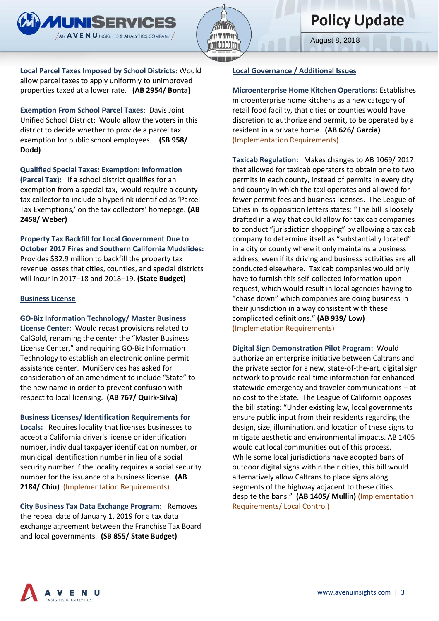August 8, 2018

**Local Parcel Taxes Imposed by School Districts:** Would allow parcel taxes to apply uniformly to unimproved properties taxed at a lower rate. **(AB 2954/ Bonta)** 

**MUNISERVICES**  $\sqrt{3}$  AVENU INSIGHTS & ANALYTICS COMPANY

**Exemption From School Parcel Taxes**: Davis Joint Unified School District: Would allow the voters in this district to decide whether to provide a parcel tax exemption for public school employees. **(SB 958/ Dodd)**

**Qualified Special Taxes: Exemption: Information (Parcel Tax):** If a school district qualifies for an exemption from a special tax, would require a county tax collector to include a hyperlink identified as 'Parcel Tax Exemptions,' on the tax collectors' homepage. **(AB 2458/ Weber)**

**Property Tax Backfill for Local Government Due to October 2017 Fires and Southern California Mudslides:**  Provides \$32.9 million to backfill the property tax revenue losses that cities, counties, and special districts will incur in 2017–18 and 2018–19. **(State Budget)**

## **Business License**

**GO-Biz Information Technology/ Master Business License Center:** Would recast provisions related to CalGold, renaming the center the "Master Business License Center," and requiring GO-Biz Information Technology to establish an electronic online permit assistance center. MuniServices has asked for consideration of an amendment to include "State" to the new name in order to prevent confusion with respect to local licensing. **(AB 767/ Quirk-Silva)**

**Business Licenses/ Identification Requirements for Locals:** Requires locality that licenses businesses to accept a California driver's license or identification number, individual taxpayer identification number, or municipal identification number in lieu of a social security number if the locality requires a social security number for the issuance of a business license. **(AB 2184/ Chiu)** (Implementation Requirements)

**City Business Tax Data Exchange Program:** Removes the repeal date of January 1, 2019 for a tax data exchange agreement between the Franchise Tax Board and local governments. **(SB 855/ State Budget)** 

# **Local Governance / Additional Issues**

# **Microenterprise Home Kitchen Operations:** Establishes microenterprise home kitchens as a new category of

retail food facility, that cities or counties would have discretion to authorize and permit, to be operated by a resident in a private home. **(AB 626/ Garcia)** (Implementation Requirements)

**Taxicab Regulation:** Makes changes to AB 1069/ 2017 that allowed for taxicab operators to obtain one to two permits in each county, instead of permits in every city and county in which the taxi operates and allowed for fewer permit fees and business licenses. The League of Cities in its opposition letters states: "The bill is loosely drafted in a way that could allow for taxicab companies to conduct "jurisdiction shopping" by allowing a taxicab company to determine itself as "substantially located" in a city or county where it only maintains a business address, even if its driving and business activities are all conducted elsewhere. Taxicab companies would only have to furnish this self-collected information upon request, which would result in local agencies having to "chase down" which companies are doing business in their jurisdiction in a way consistent with these complicated definitions." **(AB 939/ Low)** (Implemetation Requirements)

**Digital Sign Demonstration Pilot Program:** Would authorize an enterprise initiative between Caltrans and the private sector for a new, state-of-the-art, digital sign network to provide real-time information for enhanced statewide emergency and traveler communications – at no cost to the State. The League of California opposes the bill stating: "Under existing law, local governments ensure public input from their residents regarding the design, size, illumination, and location of these signs to mitigate aesthetic and environmental impacts. AB 1405 would cut local communities out of this process. While some local jurisdictions have adopted bans of outdoor digital signs within their cities, this bill would alternatively allow Caltrans to place signs along segments of the highway adjacent to these cities despite the bans." **(AB 1405/ Mullin)** (Implementation Requirements/ Local Control)

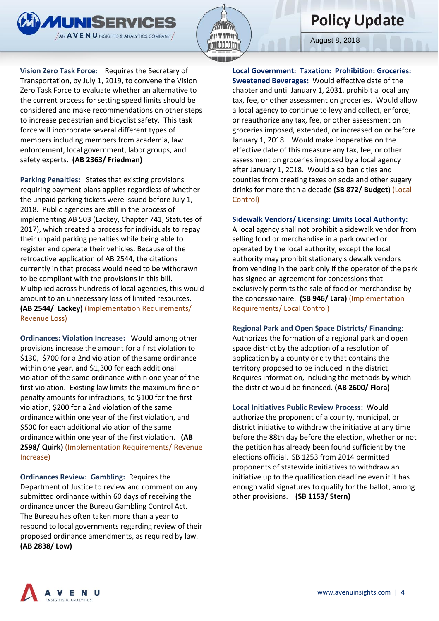



August 8, 2018

**Vision Zero Task Force:** Requires the Secretary of Transportation, by July 1, 2019, to convene the Vision Zero Task Force to evaluate whether an alternative to the current process for setting speed limits should be considered and make recommendations on other steps to increase pedestrian and bicyclist safety. This task force will incorporate several different types of members including members from academia, law enforcement, local government, labor groups, and safety experts. **(AB 2363/ Friedman)**

**Parking Penalties:** States that existing provisions requiring payment plans applies regardless of whether the unpaid parking tickets were issued before July 1, 2018. Public agencies are still in the process of implementing AB 503 (Lackey, Chapter 741, Statutes of 2017), which created a process for individuals to repay their unpaid parking penalties while being able to register and operate their vehicles. Because of the retroactive application of AB 2544, the citations currently in that process would need to be withdrawn to be compliant with the provisions in this bill. Multiplied across hundreds of local agencies, this would amount to an unnecessary loss of limited resources. **(AB 2544/ Lackey)** (Implementation Requirements/ Revenue Loss)

**Ordinances: Violation Increase:** Would among other provisions increase the amount for a first violation to \$130, \$700 for a 2nd violation of the same ordinance within one year, and \$1,300 for each additional violation of the same ordinance within one year of the first violation. Existing law limits the maximum fine or penalty amounts for infractions, to \$100 for the first violation, \$200 for a 2nd violation of the same ordinance within one year of the first violation, and \$500 for each additional violation of the same ordinance within one year of the first violation. **(AB 2598/ Quirk)** (Implementation Requirements/ Revenue Increase)

**Ordinances Review: Gambling:** Requires the Department of Justice to review and comment on any submitted ordinance within 60 days of receiving the ordinance under the Bureau Gambling Control Act. The Bureau has often taken more than a year to respond to local governments regarding review of their proposed ordinance amendments, as required by law. **(AB 2838/ Low)** 

**Local Government: Taxation: Prohibition: Groceries: Sweetened Beverages:** Would effective date of the chapter and until January 1, 2031, prohibit a local any tax, fee, or other assessment on groceries. Would allow a local agency to continue to levy and collect, enforce, or reauthorize any tax, fee, or other assessment on groceries imposed, extended, or increased on or before January 1, 2018. Would make inoperative on the effective date of this measure any tax, fee, or other assessment on groceries imposed by a local agency after January 1, 2018. Would also ban cities and counties from creating taxes on soda and other sugary drinks for more than a decade **(SB 872/ Budget)** (Local Control)

# **Sidewalk Vendors/ Licensing: Limits Local Authority:**

A local agency shall not prohibit a sidewalk vendor from selling food or merchandise in a park owned or operated by the local authority, except the local authority may prohibit stationary sidewalk vendors from vending in the park only if the operator of the park has signed an agreement for concessions that exclusively permits the sale of food or merchandise by the concessionaire. **(SB 946/ Lara)** (Implementation Requirements/ Local Control)

# **Regional Park and Open Space Districts/ Financing:**

Authorizes the formation of a regional park and open space district by the adoption of a resolution of application by a county or city that contains the territory proposed to be included in the district. Requires information, including the methods by which the district would be financed. **(AB 2600/ Flora)**

**Local Initiatives Public Review Process:** Would authorize the proponent of a county, municipal, or district initiative to withdraw the initiative at any time before the 88th day before the election, whether or not the petition has already been found sufficient by the elections official. SB 1253 from 2014 permitted proponents of statewide initiatives to withdraw an initiative up to the qualification deadline even if it has enough valid signatures to qualify for the ballot, among other provisions. **(SB 1153/ Stern)** 

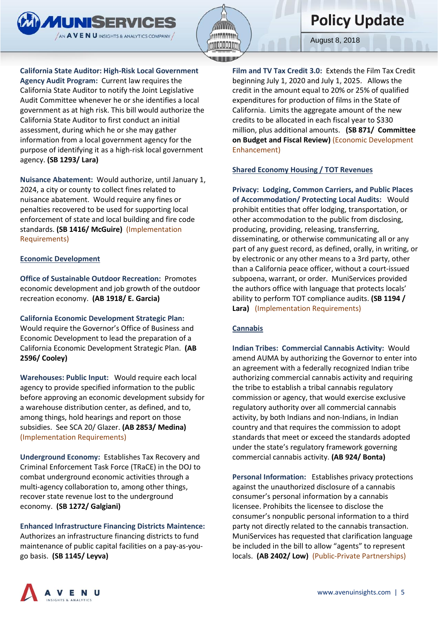



August 8, 2018

**California State Auditor: High-Risk Local Government Agency Audit Program:** Current law requires the California State Auditor to notify the Joint Legislative Audit Committee whenever he or she identifies a local government as at high risk. This bill would authorize the California State Auditor to first conduct an initial assessment, during which he or she may gather information from a local government agency for the purpose of identifying it as a high-risk local government agency. **(SB 1293/ Lara)** 

**Nuisance Abatement:** Would authorize, until January 1, 2024, a city or county to collect fines related to nuisance abatement. Would require any fines or penalties recovered to be used for supporting local enforcement of state and local building and fire code standards. **(SB 1416/ McGuire)** (Implementation Requirements)

# **Economic Development**

**Office of Sustainable Outdoor Recreation:** Promotes economic development and job growth of the outdoor recreation economy. **(AB 1918/ E. Garcia)**

**California Economic Development Strategic Plan:**  Would require the Governor's Office of Business and Economic Development to lead the preparation of a California Economic Development Strategic Plan. **(AB 2596/ Cooley)**

**Warehouses: Public Input:** Would require each local agency to provide specified information to the public before approving an economic development subsidy for a warehouse distribution center, as defined, and to, among things, hold hearings and report on those subsidies. See SCA 20/ Glazer. **(AB 2853/ Medina)**  (Implementation Requirements)

**Underground Economy:** Establishes Tax Recovery and Criminal Enforcement Task Force (TRaCE) in the DOJ to combat underground economic activities through a multi-agency collaboration to, among other things, recover state revenue lost to the underground economy. **(SB 1272/ Galgiani)**

# **Enhanced Infrastructure Financing Districts Maintence:**

Authorizes an infrastructure financing districts to fund maintenance of public capital facilities on a pay-as-yougo basis. **(SB 1145/ Leyva)** 

**Film and TV Tax Credit 3.0:** Extends the Film Tax Credit beginning July 1, 2020 and July 1, 2025. Allows the credit in the amount equal to 20% or 25% of qualified expenditures for production of films in the State of California. Limits the aggregate amount of the new credits to be allocated in each fiscal year to \$330 million, plus additional amounts. **(SB 871/ Committee on Budget and Fiscal Review)** (Economic Development Enhancement)

# **Shared Economy Housing / TOT Revenues**

**Privacy: Lodging, Common Carriers, and Public Places of Accommodation/ Protecting Local Audits:** Would prohibit entities that offer lodging, transportation, or other accommodation to the public from disclosing, producing, providing, releasing, transferring, disseminating, or otherwise communicating all or any part of any guest record, as defined, orally, in writing, or by electronic or any other means to a 3rd party, other than a California peace officer, without a court-issued subpoena, warrant, or order. MuniServices provided the authors office with language that protects locals' ability to perform TOT compliance audits. **(SB 1194 / Lara)** (Implementation Requirements)

# **Cannabis**

**Indian Tribes: Commercial Cannabis Activity:** Would amend AUMA by authorizing the Governor to enter into an agreement with a federally recognized Indian tribe authorizing commercial cannabis activity and requiring the tribe to establish a tribal cannabis regulatory commission or agency, that would exercise exclusive regulatory authority over all commercial cannabis activity, by both Indians and non-Indians, in Indian country and that requires the commission to adopt standards that meet or exceed the standards adopted under the state's regulatory framework governing commercial cannabis activity. **(AB 924/ Bonta)**

**Personal Information:** Establishes privacy protections against the unauthorized disclosure of a cannabis consumer's personal information by a cannabis licensee. Prohibits the licensee to disclose the consumer's nonpublic personal information to a third party not directly related to the cannabis transaction. MuniServices has requested that clarification language be included in the bill to allow "agents" to represent locals. **(AB 2402/ Low)** (Public-Private Partnerships)

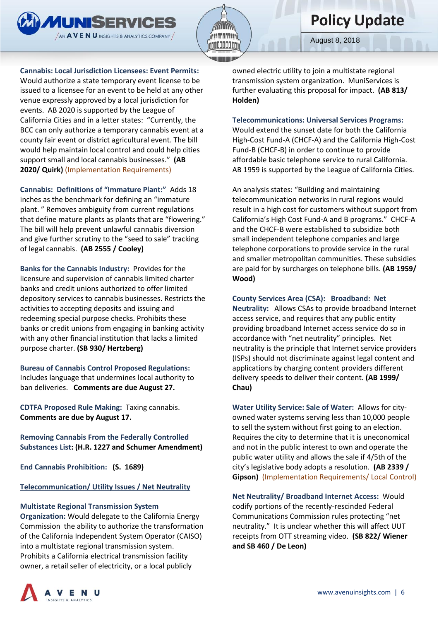

August 8, 2018

### **Cannabis: Local Jurisdiction Licensees: Event Permits:**

Would authorize a state temporary event license to be issued to a licensee for an event to be held at any other venue expressly approved by a local jurisdiction for events. AB 2020 is supported by the League of California Cities and in a letter states: "Currently, the BCC can only authorize a temporary cannabis event at a county fair event or district agricultural event. The bill would help maintain local control and could help cities support small and local cannabis businesses." **(AB 2020/ Quirk)** (Implementation Requirements)

**Cannabis: Definitions of "Immature Plant:"** Adds 18 inches as the benchmark for defining an "immature plant. " Removes ambiguity from current regulations that define mature plants as plants that are "flowering." The bill will help prevent unlawful cannabis diversion and give further scrutiny to the "seed to sale" tracking of legal cannabis. **(AB 2555 / Cooley)**

**Banks for the Cannabis Industry:** Provides for the licensure and supervision of cannabis limited charter banks and credit unions authorized to offer limited depository services to cannabis businesses. Restricts the activities to accepting deposits and issuing and redeeming special purpose checks. Prohibits these banks or credit unions from engaging in banking activity with any other financial institution that lacks a limited purpose charter. **(SB 930/ Hertzberg)** 

**Bureau of Cannabis Control Proposed Regulations:**  Includes language that undermines local authority to ban deliveries. **Comments are due August 27.**

**CDTFA Proposed Rule Making:** Taxing cannabis. **Comments are due by August 17.**

**Removing Cannabis From the Federally Controlled Substances List: (H.R. 1227 and Schumer Amendment)**

**End Cannabis Prohibition: (S. 1689)**

**Telecommunication/ Utility Issues / Net Neutrality** 

### **Multistate Regional Transmission System**

**Organization:** Would delegate to the California Energy Commission the ability to authorize the transformation of the California Independent System Operator (CAISO) into a multistate regional transmission system. Prohibits a California electrical transmission facility owner, a retail seller of electricity, or a local publicly

owned electric utility to join a multistate regional transmission system organization. MuniServices is further evaluating this proposal for impact. **(AB 813/ Holden)**

#### **Telecommunications: Universal Services Programs:**

Would extend the sunset date for both the California High-Cost Fund-A (CHCF-A) and the California High-Cost Fund-B (CHCF-B) in order to continue to provide affordable basic telephone service to rural California. AB 1959 is supported by the League of California Cities.

An analysis states: "Building and maintaining telecommunication networks in rural regions would result in a high cost for customers without support from California's High Cost Fund-A and B programs." CHCF-A and the CHCF-B were established to subsidize both small independent telephone companies and large telephone corporations to provide service in the rural and smaller metropolitan communities. These subsidies are paid for by surcharges on telephone bills. **(AB 1959/ Wood)** 

## **County Services Area (CSA): Broadband: Net**

**Neutrality:** Allows CSAs to provide broadband Internet access service, and requires that any public entity providing broadband Internet access service do so in accordance with "net neutrality" principles. Net neutrality is the principle that Internet service providers (ISPs) should not discriminate against legal content and applications by charging content providers different delivery speeds to deliver their content. **(AB 1999/ Chau)**

**Water Utility Service: Sale of Water:** Allows for cityowned water systems serving less than 10,000 people to sell the system without first going to an election. Requires the city to determine that it is uneconomical and not in the public interest to own and operate the public water utility and allows the sale if 4/5th of the city's legislative body adopts a resolution. **(AB 2339 / Gipson)** (Implementation Requirements/ Local Control)

**Net Neutrality/ Broadband Internet Access:** Would codify portions of the recently-rescinded Federal Communications Commission rules protecting "net neutrality." It is unclear whether this will affect UUT receipts from OTT streaming video. **(SB 822/ Wiener and SB 460 / De Leon)**